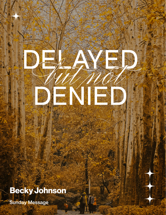# Becky Johnson

**Sunday Message**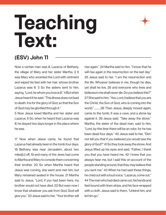# Teaching<br>Text:

# **(ESV) John 11**

Now a certain man was ill, Lazarus of Bethany, the village of Mary and her sister Martha. 2 It was Mary who anointed the Lord with ointment and wiped his feet with her hair, whose brother Lazarus was ill. 3 So the sisters sent to him, saying, "Lord, he whom you love is ill." 4 But when Jesus heard it he said, "This illness does not lead to death. It is for the glory of God, so that the Son of God may be glorified through it."

5 Now Jesus loved Martha and her sister and Lazarus. 6 So, when he heard that Lazarus was ill, he stayed two days longer in the place where he was.

17 Now when Jesus came, he found that Lazarus had already been in the tomb four days. 18 Bethany was near Jerusalem, about two miles[c] off, 19 and many of the Jews had come to Martha and Mary to console them concerning their brother. 20 So when Martha heard that Jesus was coming, she went and met him, but Mary remained seated in the house. 21 Martha said to Jesus, "Lord, if you had been here, my brother would not have died. 22 But even now I know that whatever you ask from God, God will give you." 23 Jesus said to her, "Your brother will

rise again." 24 Martha said to him, "I know that he will rise again in the resurrection on the last day." 25 Jesus said to her, "I am the resurrection and the life. Whoever believes in me, though he dies, yet shall he live, 26 and everyone who lives and believes in me shall never die. Do you believe this?" 27 She said to him, "Yes, Lord; I believe that you are the Christ, the Son of God, who is coming into the world."...........38 Then Jesus, deeply moved again, came to the tomb. It was a cave, and a stone lay against it. 39 Jesus said, "Take away the stone." Martha, the sister of the dead man, said to him, "Lord, by this time there will be an odor, for he has been dead four days." 40 Jesus said to her, "Did I not tell you that if you believed you would see the glory of God?" 41 So they took away the stone. And Jesus lifted up his eyes and said, "Father, I thank you that you have heard me. 42 I knew that you always hear me, but I said this on account of the people standing around, that they may believe that you sent me." 43 When he had said these things, he cried out with a loud voice, "Lazarus, come out." 44 The man who had died came out, his hands and feet bound with linen strips, and his face wrapped with a cloth. Jesus said to them, "Unbind him, and let him go."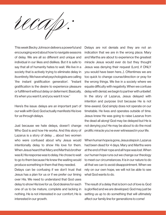

This week Becky Johnson delivers a powerful and encouraging word about how to navigate seasons of delay. We are all so different and unique and individual in our likes and dislikes. But it is safe to say that all of humanity hates to wait. We live in a society that is actively trying to eliminate delay in its entirety. We have what psychologists are calling 'the instant gratification generation'. "Instant gratification is the desire to experience pleasure or fulfillment without delay or deferment. Basically, it's when you want it; and you want it now."

Here's the issue: delays are an important part of our walk with God. God actually manifests His love for us through delays.

Just because we hate delays, doesn't change Who God is and how He works. And this story of Lazarus is a story of delay … about two women who were confused about why Jesus would intentionally delay to show His love for them. When Jesus heard that Mary and Martha's brother was ill, His response was to delay. He chose to wait to go to them because He knew the waiting would produce something in them that they needed.

Delays can be confusing if we don't trust that Jesus has a plan for us or if we prefer our timing over His. We need to understand that God uses delay to show His love for us. God desires for each one of us to be mature, complete and lacking in nothing. He is not interested in our comfort; He is interested in our growth.

Delays are not denials and they are not an indication that we are in the wrong place. Mary and Martha are about to experience the greatest miracle Jesus would ever do but they thought Jesus was denying their request (Lord, if ONLY you would have been here...). Oftentimes we are too quick to change course/direction or pray for the wrong things. We live in a society where we equate difficulty with negativity. When we confuse delay with denial, we begin to partner with unbelief. In the story of Lazarus, Jesus delayed with intention and purpose (not because He is not time-aware). God simply does not operate on our timetable. He lives and operates outside of time. Jesus knew He was going to raise Lazarus from the dead all along! God may be delayed but He is not denying you! He may be about to do the most prolific miracle you've ever witnessed in your life.

When human hope is gone, Jesus steps in. Lazarus had been dead for 4 days. Mary and Martha were at the end of their rope and all hope was lost. When our human hope runs out we change our theology to meet our circumstances. It is in our nature to do all that we can to avoid disappointment. When we rely on our own hope, we will not be able to see what God wants to do.

The result of a delay that is born out of love is: God is glorified and we are developed. God may just be setting us up to do something that will ultimately affect our family line for generations to come!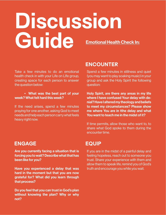# **Discussion Guide** Emotional Health Check In:

Take a few minutes to do an emotional health check in with your Life on LIfe group, creating space for each person to answer the question below:

#### • What was the best part of your week? What felt hard this week?

If the need arises, spend a few minutes praying for one another, asking God to meet needs and help each person carry what feels heavy right now.

## **ENCOUNTER**

Spend a few minutes in stillness and quiet (you may want to play soaking music) in your group and ask the Holy Spirit the following question:

Holy Spirit, are there any areas in my life where I have confused Your delay with denial? Have I altered my theology and beliefs to meet my circumstances? Please show me where You are in tthe delay and what You want to teach me in the midst of it?

If time permits, allow those who want to, to share what God spoke to them during the encounter time.

## **ENGAGE**

Are you currently facing a situation that is forcing you to wait? Describe what that has been like for you?

Have you experienced a delay that was hard in the moment but that you are now grateful for? What did you learn through that process?

Do you feel that you can trust in God's plan without knowing the plan? Why or why not?

### **EQUIP**

If you are in the midst of a painful delay and feeling hopeless, reach out to someone you trust. Share your experience with them and allow them to speak life, remind you of God's truth and encourage you while you wait.